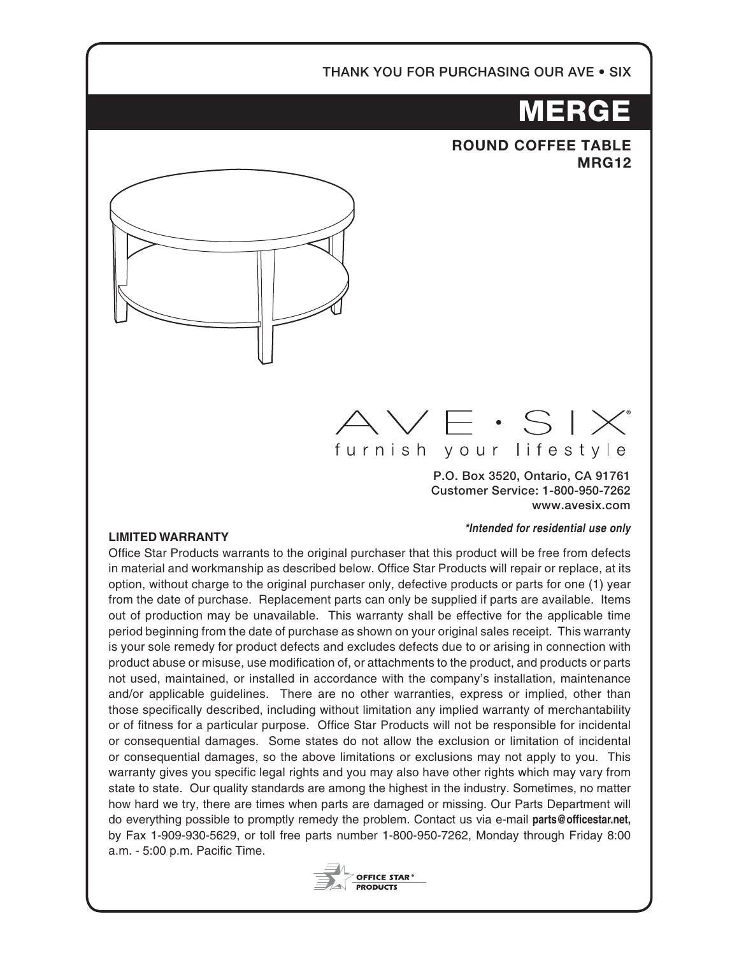### THANK YOU FOR PURCHASING OUR AVE • SIX

# MERGE

## **ROUND COFFEE TABLE MRG12**



# $\vee$   $\vee$   $\in$   $\cdot$   $\leq$   $\mid$   $\times$ furnish your lifestyle

P.O. Box 3520, Ontario, CA 91761 Customer Service: 1-800-950-7262 www.avesix.com

### *\*Intended for residential use only*

#### **LIMITED WARRANTY**

Office Star Products warrants to the original purchaser that this product will be free from defects in material and workmanship as described below. Office Star Products will repair or replace, at its option, without charge to the original purchaser only, defective products or parts for one (1) year from the date of purchase. Replacement parts can only be supplied if parts are available. Items out of production may be unavailable. This warranty shall be effective for the applicable time period beginning from the date of purchase as shown on your original sales receipt. This warranty is your sole remedy for product defects and excludes defects due to or arising in connection with product abuse or misuse, use modification of, or attachments to the product, and products or parts not used, maintained, or installed in accordance with the company's installation, maintenance and/or applicable guidelines. There are no other warranties, express or implied, other than those specifically described, including without limitation any implied warranty of merchantability or of fitness for a particular purpose. Office Star Products will not be responsible for incidental or consequential damages. Some states do not allow the exclusion or limitation of incidental or consequential damages, so the above limitations or exclusions may not apply to you. This warranty gives you specific legal rights and you may also have other rights which may vary from state to state. Our quality standards are among the highest in the industry. Sometimes, no matter how hard we try, there are times when parts are damaged or missing. Our Parts Department will do everything possible to promptly remedy the problem. Contact us via e-mail **parts@officestar.net,** by Fax 1-909-930-5629, or toll free parts number 1-800-950-7262, Monday through Friday 8:00 a.m. - 5:00 p.m. Pacific Time.

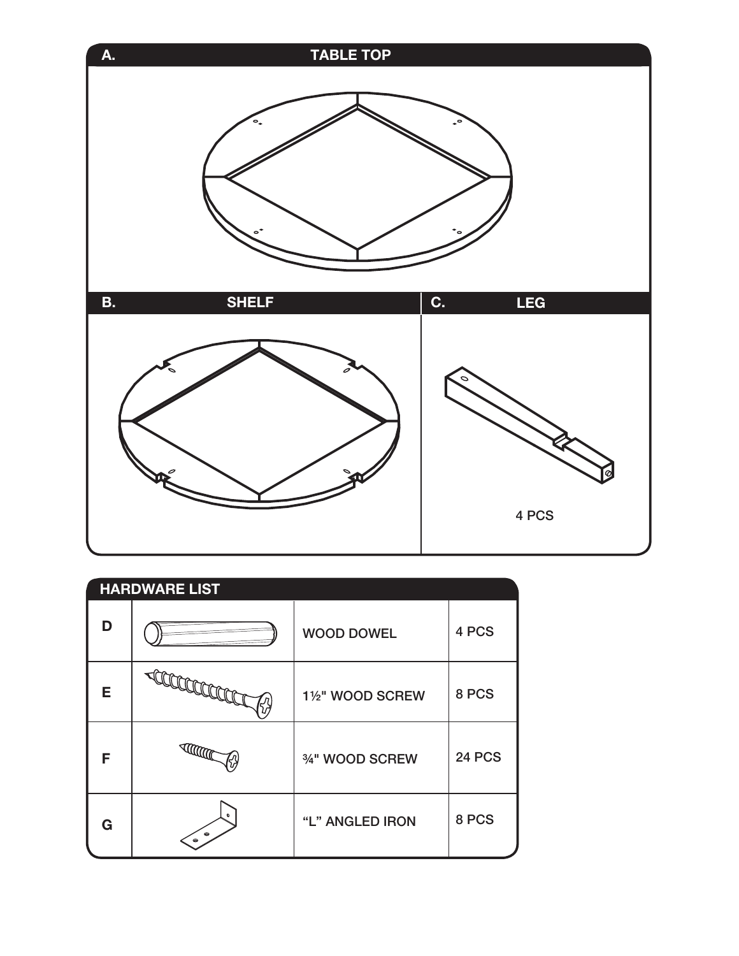

| <b>HARDWARE LIST</b> |                                     |                   |               |
|----------------------|-------------------------------------|-------------------|---------------|
| D                    |                                     | <b>WOOD DOWEL</b> | 4 PCS         |
| Е                    | <b>ACCORD</b>                       | 11/2" WOOD SCREW  | 8 PCS         |
| F                    | <b>THE CONTENT OF STRAIGHTER</b>    | 3/4" WOOD SCREW   | <b>24 PCS</b> |
| G                    | $\bullet$<br>$\bullet$<br>$\bullet$ | "L" ANGLED IRON   | 8 PCS         |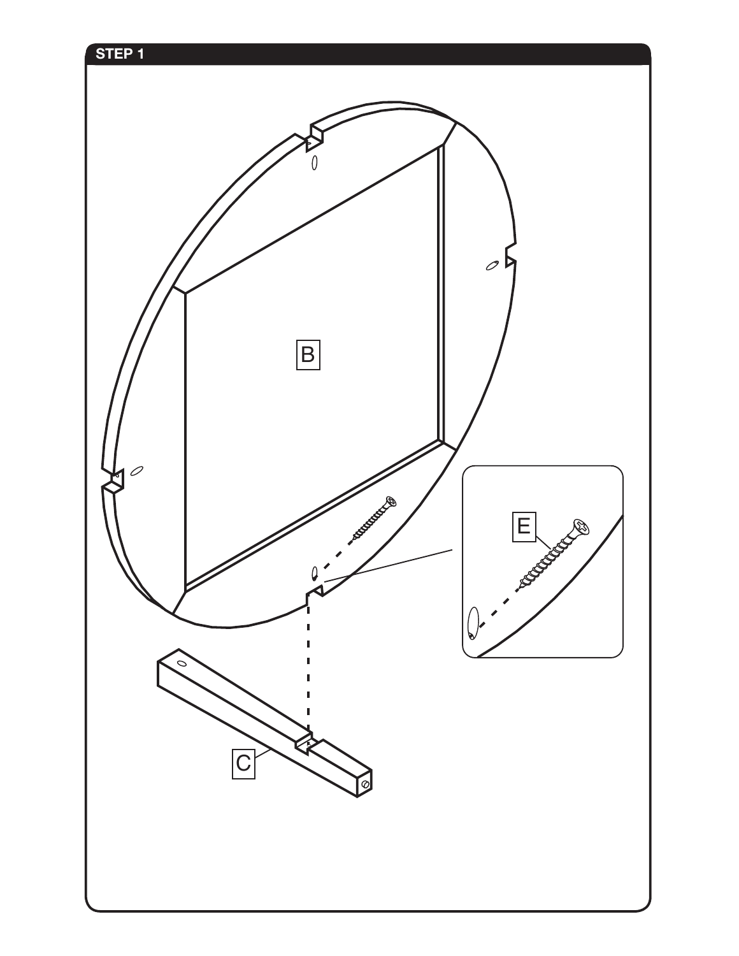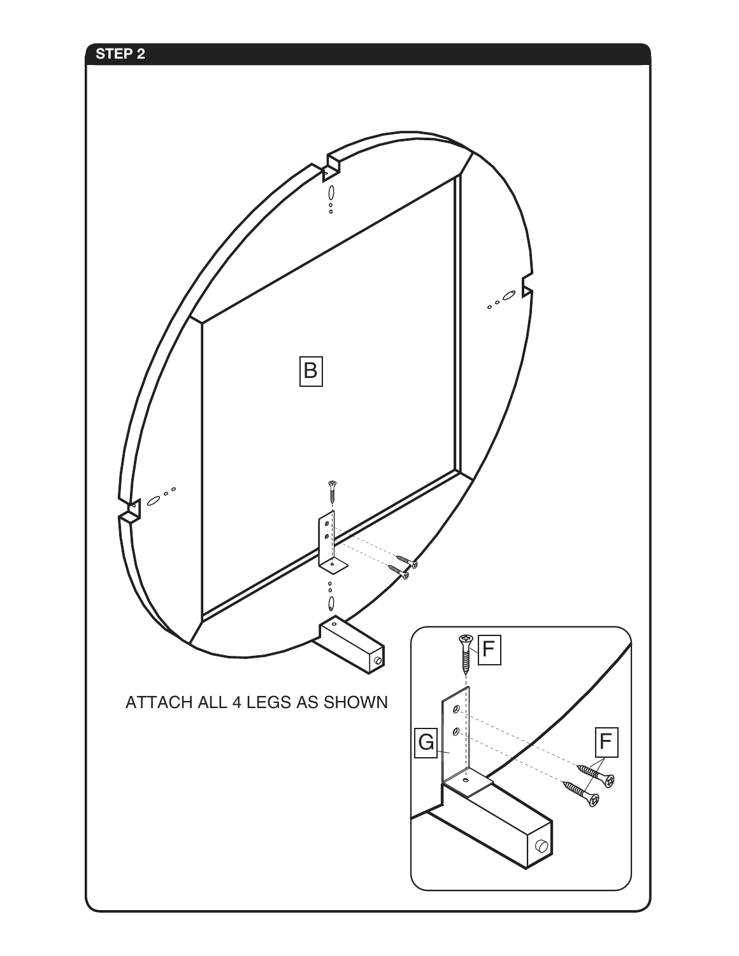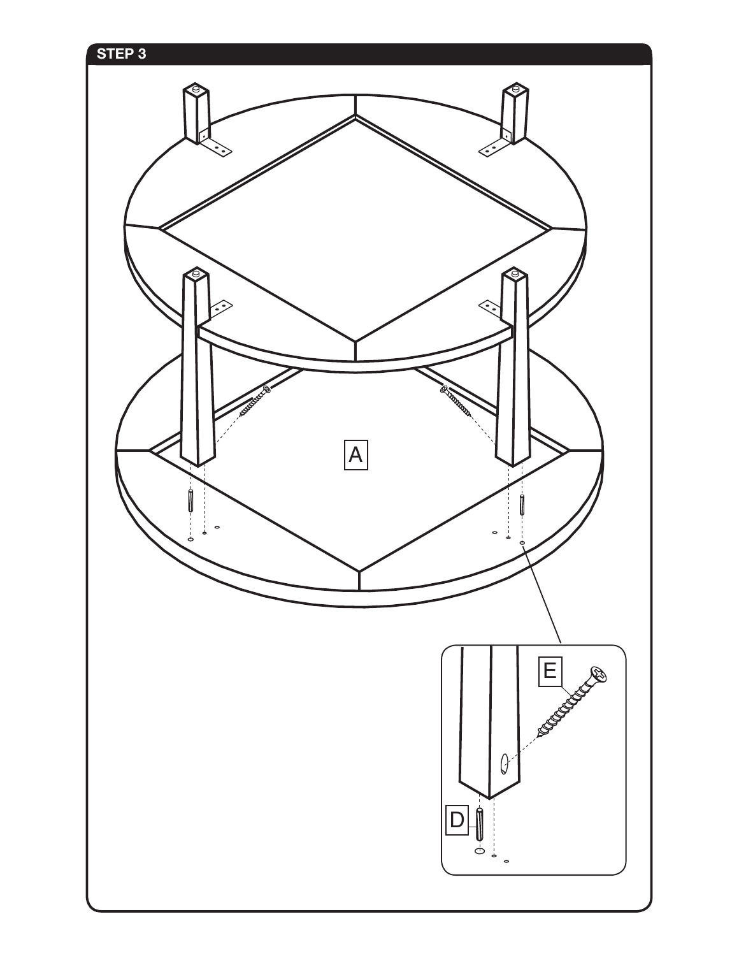